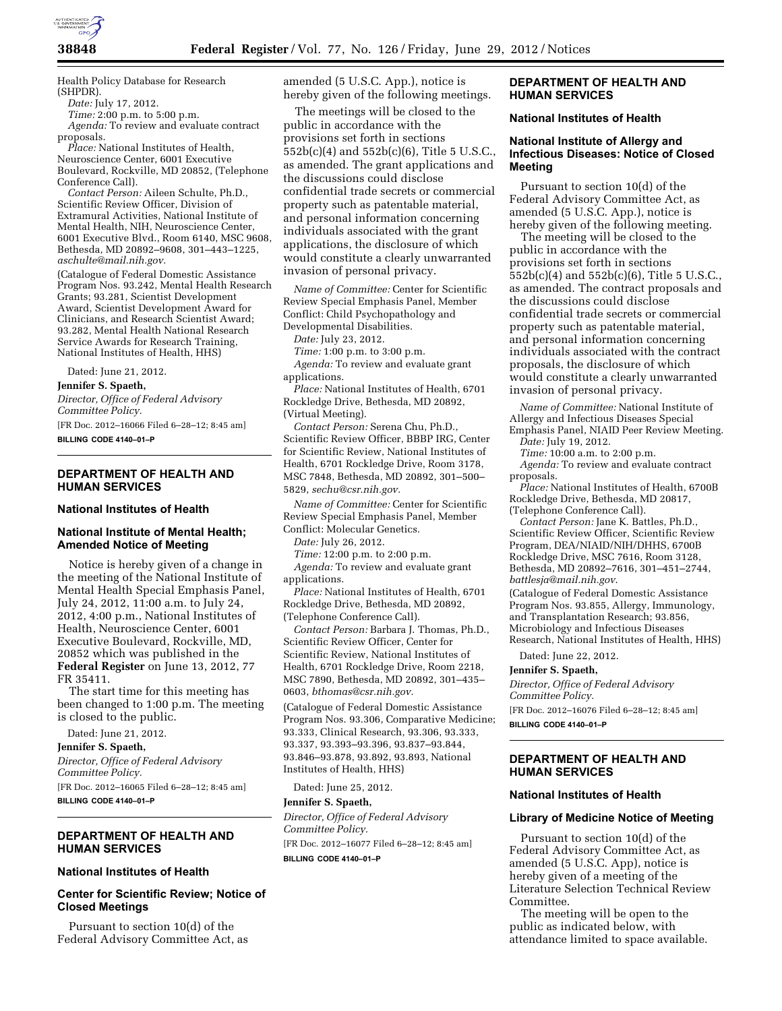

Health Policy Database for Research (SHPDR).

*Date:* July 17, 2012.

*Time:* 2:00 p.m. to 5:00 p.m. *Agenda:* To review and evaluate contract proposals.

*Place:* National Institutes of Health, Neuroscience Center, 6001 Executive Boulevard, Rockville, MD 20852, (Telephone Conference Call).

*Contact Person:* Aileen Schulte, Ph.D., Scientific Review Officer, Division of Extramural Activities, National Institute of Mental Health, NIH, Neuroscience Center, 6001 Executive Blvd., Room 6140, MSC 9608, Bethesda, MD 20892–9608, 301–443–1225, *[aschulte@mail.nih.gov.](mailto:aschulte@mail.nih.gov)* 

(Catalogue of Federal Domestic Assistance Program Nos. 93.242, Mental Health Research Grants; 93.281, Scientist Development Award, Scientist Development Award for Clinicians, and Research Scientist Award; 93.282, Mental Health National Research Service Awards for Research Training, National Institutes of Health, HHS)

Dated: June 21, 2012.

**Jennifer S. Spaeth,** 

*Director, Office of Federal Advisory Committee Policy.* 

[FR Doc. 2012–16066 Filed 6–28–12; 8:45 am] **BILLING CODE 4140–01–P** 

## **DEPARTMENT OF HEALTH AND HUMAN SERVICES**

#### **National Institutes of Health**

# **National Institute of Mental Health; Amended Notice of Meeting**

Notice is hereby given of a change in the meeting of the National Institute of Mental Health Special Emphasis Panel, July 24, 2012, 11:00 a.m. to July 24, 2012, 4:00 p.m., National Institutes of Health, Neuroscience Center, 6001 Executive Boulevard, Rockville, MD, 20852 which was published in the **Federal Register** on June 13, 2012, 77 FR 35411.

The start time for this meeting has been changed to 1:00 p.m. The meeting is closed to the public.

Dated: June 21, 2012.

**Jennifer S. Spaeth,** 

*Director, Office of Federal Advisory Committee Policy.*  [FR Doc. 2012–16065 Filed 6–28–12; 8:45 am] **BILLING CODE 4140–01–P** 

# **DEPARTMENT OF HEALTH AND HUMAN SERVICES**

#### **National Institutes of Health**

# **Center for Scientific Review; Notice of Closed Meetings**

Pursuant to section 10(d) of the Federal Advisory Committee Act, as amended (5 U.S.C. App.), notice is hereby given of the following meetings.

The meetings will be closed to the public in accordance with the provisions set forth in sections 552b(c)(4) and 552b(c)(6), Title 5 U.S.C., as amended. The grant applications and the discussions could disclose confidential trade secrets or commercial property such as patentable material, and personal information concerning individuals associated with the grant applications, the disclosure of which would constitute a clearly unwarranted invasion of personal privacy.

*Name of Committee:* Center for Scientific Review Special Emphasis Panel, Member Conflict: Child Psychopathology and Developmental Disabilities.

*Date:* July 23, 2012.

*Time:* 1:00 p.m. to 3:00 p.m.

*Agenda:* To review and evaluate grant applications.

*Place:* National Institutes of Health, 6701 Rockledge Drive, Bethesda, MD 20892, (Virtual Meeting).

*Contact Person:* Serena Chu, Ph.D., Scientific Review Officer, BBBP IRG, Center for Scientific Review, National Institutes of Health, 6701 Rockledge Drive, Room 3178, MSC 7848, Bethesda, MD 20892, 301–500– 5829, *[sechu@csr.nih.gov.](mailto:sechu@csr.nih.gov)* 

*Name of Committee:* Center for Scientific Review Special Emphasis Panel, Member Conflict: Molecular Genetics.

*Date:* July 26, 2012.

*Time:* 12:00 p.m. to 2:00 p.m. *Agenda:* To review and evaluate grant applications.

*Place:* National Institutes of Health, 6701 Rockledge Drive, Bethesda, MD 20892, (Telephone Conference Call).

*Contact Person:* Barbara J. Thomas, Ph.D., Scientific Review Officer, Center for Scientific Review, National Institutes of Health, 6701 Rockledge Drive, Room 2218, MSC 7890, Bethesda, MD 20892, 301–435– 0603, *[bthomas@csr.nih.gov.](mailto:bthomas@csr.nih.gov)* 

(Catalogue of Federal Domestic Assistance Program Nos. 93.306, Comparative Medicine; 93.333, Clinical Research, 93.306, 93.333, 93.337, 93.393–93.396, 93.837–93.844, 93.846–93.878, 93.892, 93.893, National Institutes of Health, HHS)

Dated: June 25, 2012.

#### **Jennifer S. Spaeth,**

*Director, Office of Federal Advisory Committee Policy.*  [FR Doc. 2012–16077 Filed 6–28–12; 8:45 am] **BILLING CODE 4140–01–P** 

## **DEPARTMENT OF HEALTH AND HUMAN SERVICES**

## **National Institutes of Health**

# **National Institute of Allergy and Infectious Diseases: Notice of Closed Meeting**

Pursuant to section 10(d) of the Federal Advisory Committee Act, as amended (5 U.S.C. App.), notice is hereby given of the following meeting.

The meeting will be closed to the public in accordance with the provisions set forth in sections 552b(c)(4) and 552b(c)(6), Title 5 U.S.C., as amended. The contract proposals and the discussions could disclose confidential trade secrets or commercial property such as patentable material, and personal information concerning individuals associated with the contract proposals, the disclosure of which would constitute a clearly unwarranted invasion of personal privacy.

*Name of Committee:* National Institute of Allergy and Infectious Diseases Special

Emphasis Panel, NIAID Peer Review Meeting. *Date:* July 19, 2012.

*Time:* 10:00 a.m. to 2:00 p.m.

*Agenda:* To review and evaluate contract proposals.

*Place:* National Institutes of Health, 6700B Rockledge Drive, Bethesda, MD 20817, (Telephone Conference Call).

*Contact Person:* Jane K. Battles, Ph.D., Scientific Review Officer, Scientific Review Program, DEA/NIAID/NIH/DHHS, 6700B Rockledge Drive, MSC 7616, Room 3128, Bethesda, MD 20892–7616, 301–451–2744, *[battlesja@mail.nih.gov](mailto:battlesja@mail.nih.gov)*.

(Catalogue of Federal Domestic Assistance Program Nos. 93.855, Allergy, Immunology, and Transplantation Research; 93.856, Microbiology and Infectious Diseases Research, National Institutes of Health, HHS)

Dated: June 22, 2012.

**Jennifer S. Spaeth,** 

*Director, Office of Federal Advisory Committee Policy.* 

[FR Doc. 2012–16076 Filed 6–28–12; 8:45 am] **BILLING CODE 4140–01–P** 

**DEPARTMENT OF HEALTH AND HUMAN SERVICES** 

# **National Institutes of Health**

#### **Library of Medicine Notice of Meeting**

Pursuant to section 10(d) of the Federal Advisory Committee Act, as amended (5 U.S.C. App), notice is hereby given of a meeting of the Literature Selection Technical Review Committee.

The meeting will be open to the public as indicated below, with attendance limited to space available.